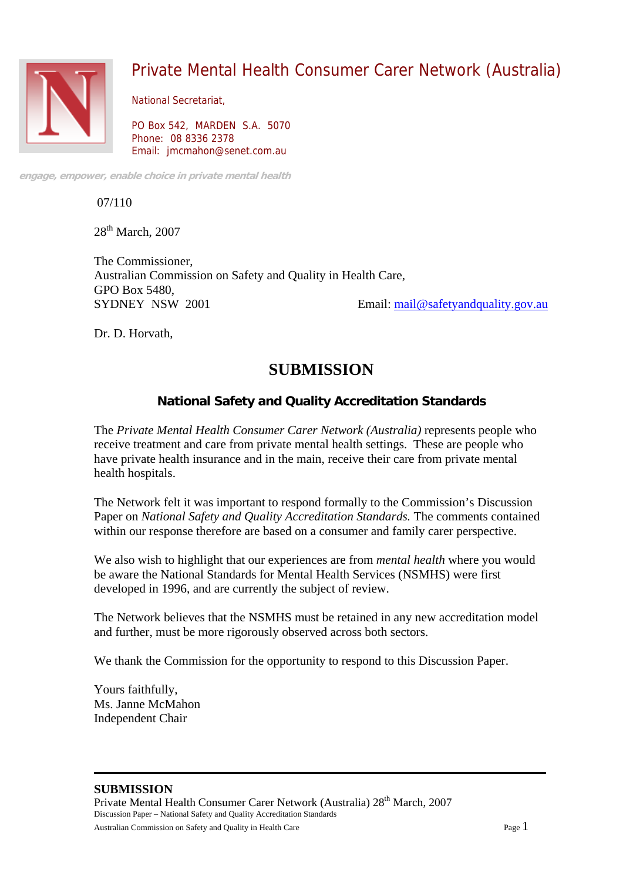

# Private Mental Health Consumer Carer Network (Australia)

National Secretariat,

PO Box 542, MARDEN S.A. 5070 Phone: 08 8336 2378 Email: jmcmahon@senet.com.au

**engage, empower, enable choice in private mental health** 

07/110

28<sup>th</sup> March, 2007

The Commissioner, Australian Commission on Safety and Quality in Health Care, GPO Box 5480, SYDNEY NSW 2001 Email: mail@safetyandquality.gov.au

Dr. D. Horvath,

# **SUBMISSION**

# **National Safety and Quality Accreditation Standards**

The *Private Mental Health Consumer Carer Network (Australia)* represents people who receive treatment and care from private mental health settings. These are people who have private health insurance and in the main, receive their care from private mental health hospitals.

The Network felt it was important to respond formally to the Commission's Discussion Paper on *National Safety and Quality Accreditation Standards.* The comments contained within our response therefore are based on a consumer and family carer perspective.

We also wish to highlight that our experiences are from *mental health* where you would be aware the National Standards for Mental Health Services (NSMHS) were first developed in 1996, and are currently the subject of review.

The Network believes that the NSMHS must be retained in any new accreditation model and further, must be more rigorously observed across both sectors.

We thank the Commission for the opportunity to respond to this Discussion Paper.

Yours faithfully, Ms. Janne McMahon Independent Chair

# **SUBMISSION**

Private Mental Health Consumer Carer Network (Australia) 28<sup>th</sup> March, 2007 Discussion Paper – National Safety and Quality Accreditation Standards

Australian Commission on Safety and Quality in Health Care Page 1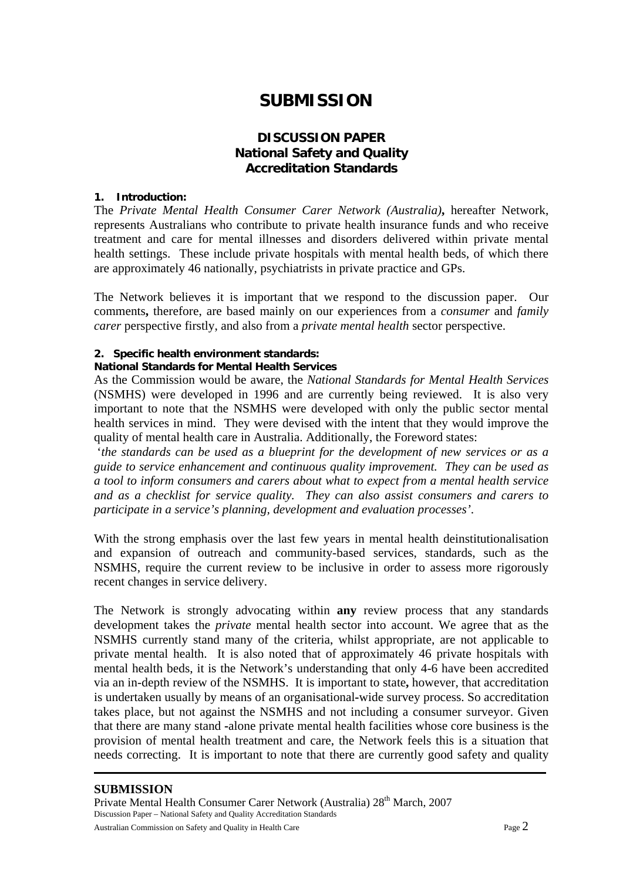# **SUBMISSION**

# **DISCUSSION PAPER National Safety and Quality Accreditation Standards**

#### **1. Introduction:**

The *Private Mental Health Consumer Carer Network (Australia)***,** hereafter Network, represents Australians who contribute to private health insurance funds and who receive treatment and care for mental illnesses and disorders delivered within private mental health settings. These include private hospitals with mental health beds, of which there are approximately 46 nationally, psychiatrists in private practice and GPs.

The Network believes it is important that we respond to the discussion paper. Our comments**,** therefore, are based mainly on our experiences from a *consumer* and *family carer* perspective firstly, and also from a *private mental health* sector perspective.

#### **2. Specific health environment standards:**

#### **National Standards for Mental Health Services**

As the Commission would be aware, the *National Standards for Mental Health Services* (NSMHS) were developed in 1996 and are currently being reviewed. It is also very important to note that the NSMHS were developed with only the public sector mental health services in mind. They were devised with the intent that they would improve the quality of mental health care in Australia. Additionally, the Foreword states:

 '*the standards can be used as a blueprint for the development of new services or as a guide to service enhancement and continuous quality improvement. They can be used as a tool to inform consumers and carers about what to expect from a mental health service and as a checklist for service quality. They can also assist consumers and carers to participate in a service's planning, development and evaluation processes'*.

With the strong emphasis over the last few years in mental health deinstitutionalisation and expansion of outreach and community-based services, standards, such as the NSMHS, require the current review to be inclusive in order to assess more rigorously recent changes in service delivery.

The Network is strongly advocating within **any** review process that any standards development takes the *private* mental health sector into account. We agree that as the NSMHS currently stand many of the criteria, whilst appropriate, are not applicable to private mental health. It is also noted that of approximately 46 private hospitals with mental health beds, it is the Network's understanding that only 4-6 have been accredited via an in-depth review of the NSMHS. It is important to state**,** however, that accreditation is undertaken usually by means of an organisational**-**wide survey process. So accreditation takes place, but not against the NSMHS and not including a consumer surveyor. Given that there are many stand **-**alone private mental health facilities whose core business is the provision of mental health treatment and care, the Network feels this is a situation that needs correcting. It is important to note that there are currently good safety and quality

#### **SUBMISSION**

Private Mental Health Consumer Carer Network (Australia) 28<sup>th</sup> March, 2007 Discussion Paper – National Safety and Quality Accreditation Standards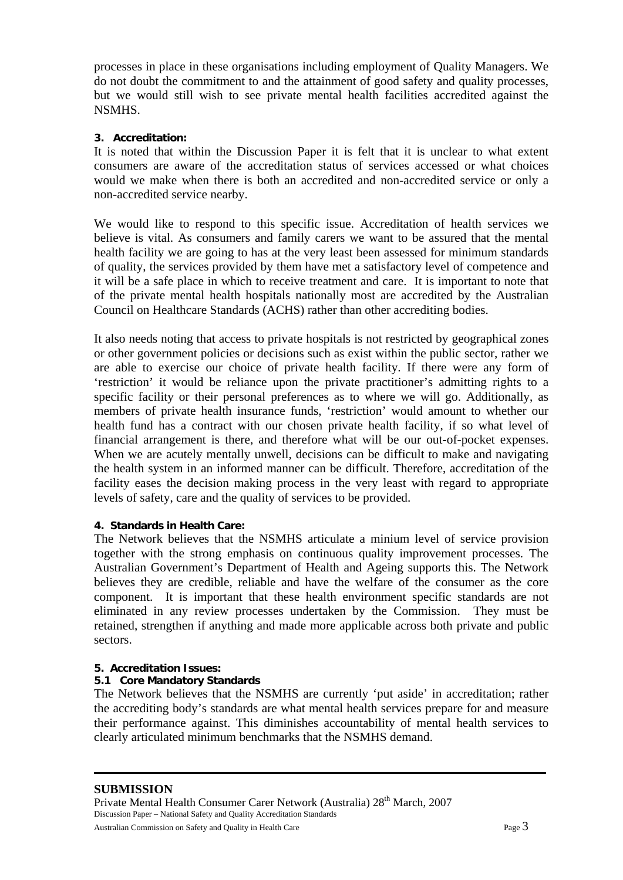processes in place in these organisations including employment of Quality Managers. We do not doubt the commitment to and the attainment of good safety and quality processes, but we would still wish to see private mental health facilities accredited against the NSMHS.

#### **3. Accreditation:**

It is noted that within the Discussion Paper it is felt that it is unclear to what extent consumers are aware of the accreditation status of services accessed or what choices would we make when there is both an accredited and non-accredited service or only a non-accredited service nearby.

We would like to respond to this specific issue. Accreditation of health services we believe is vital. As consumers and family carers we want to be assured that the mental health facility we are going to has at the very least been assessed for minimum standards of quality, the services provided by them have met a satisfactory level of competence and it will be a safe place in which to receive treatment and care. It is important to note that of the private mental health hospitals nationally most are accredited by the Australian Council on Healthcare Standards (ACHS) rather than other accrediting bodies.

It also needs noting that access to private hospitals is not restricted by geographical zones or other government policies or decisions such as exist within the public sector, rather we are able to exercise our choice of private health facility. If there were any form of 'restriction' it would be reliance upon the private practitioner's admitting rights to a specific facility or their personal preferences as to where we will go. Additionally, as members of private health insurance funds, 'restriction' would amount to whether our health fund has a contract with our chosen private health facility, if so what level of financial arrangement is there, and therefore what will be our out**-**of-pocket expenses. When we are acutely mentally unwell, decisions can be difficult to make and navigating the health system in an informed manner can be difficult. Therefore, accreditation of the facility eases the decision making process in the very least with regard to appropriate levels of safety, care and the quality of services to be provided.

#### **4. Standards in Health Care:**

The Network believes that the NSMHS articulate a minium level of service provision together with the strong emphasis on continuous quality improvement processes. The Australian Government's Department of Health and Ageing supports this. The Network believes they are credible, reliable and have the welfare of the consumer as the core component. It is important that these health environment specific standards are not eliminated in any review processes undertaken by the Commission. They must be retained, strengthen if anything and made more applicable across both private and public sectors.

#### **5. Accreditation Issues:**

#### **5.1 Core Mandatory Standards**

The Network believes that the NSMHS are currently 'put aside' in accreditation; rather the accrediting body's standards are what mental health services prepare for and measure their performance against. This diminishes accountability of mental health services to clearly articulated minimum benchmarks that the NSMHS demand.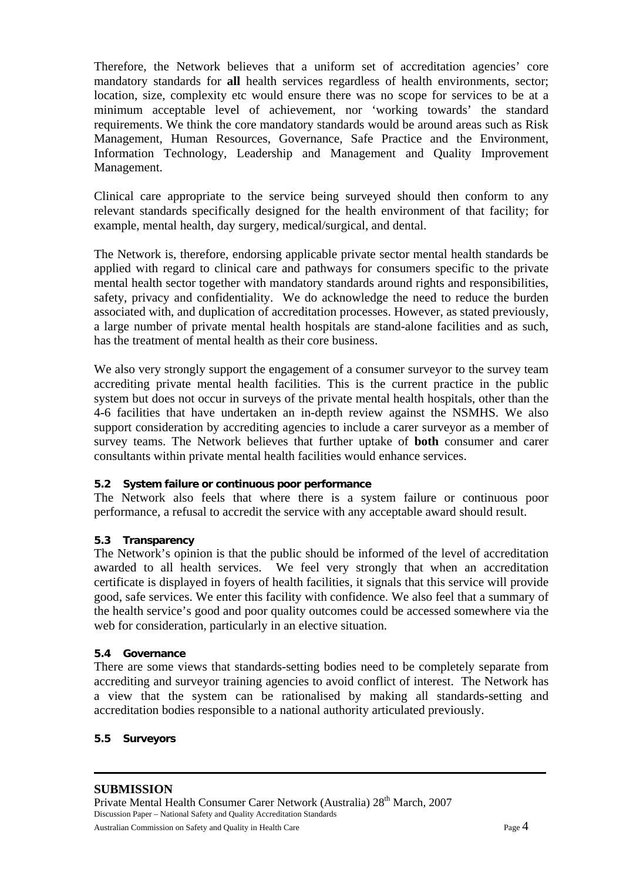Therefore, the Network believes that a uniform set of accreditation agencies' core mandatory standards for **all** health services regardless of health environments, sector; location, size, complexity etc would ensure there was no scope for services to be at a minimum acceptable level of achievement, nor 'working towards' the standard requirements. We think the core mandatory standards would be around areas such as Risk Management, Human Resources, Governance, Safe Practice and the Environment, Information Technology, Leadership and Management and Quality Improvement Management.

Clinical care appropriate to the service being surveyed should then conform to any relevant standards specifically designed for the health environment of that facility; for example, mental health, day surgery, medical/surgical, and dental.

The Network is, therefore, endorsing applicable private sector mental health standards be applied with regard to clinical care and pathways for consumers specific to the private mental health sector together with mandatory standards around rights and responsibilities, safety, privacy and confidentiality. We do acknowledge the need to reduce the burden associated with, and duplication of accreditation processes. However, as stated previously, a large number of private mental health hospitals are stand-alone facilities and as such, has the treatment of mental health as their core business.

We also very strongly support the engagement of a consumer survey to the survey team accrediting private mental health facilities. This is the current practice in the public system but does not occur in surveys of the private mental health hospitals, other than the 4-6 facilities that have undertaken an in-depth review against the NSMHS. We also support consideration by accrediting agencies to include a carer surveyor as a member of survey teams. The Network believes that further uptake of **both** consumer and carer consultants within private mental health facilities would enhance services.

#### **5.2 System failure or continuous poor performance**

The Network also feels that where there is a system failure or continuous poor performance, a refusal to accredit the service with any acceptable award should result.

#### **5.3 Transparency**

The Network's opinion is that the public should be informed of the level of accreditation awarded to all health services. We feel very strongly that when an accreditation certificate is displayed in foyers of health facilities, it signals that this service will provide good, safe services. We enter this facility with confidence. We also feel that a summary of the health service's good and poor quality outcomes could be accessed somewhere via the web for consideration, particularly in an elective situation.

#### **5.4 Governance**

There are some views that standards-setting bodies need to be completely separate from accrediting and surveyor training agencies to avoid conflict of interest. The Network has a view that the system can be rationalised by making all standards-setting and accreditation bodies responsible to a national authority articulated previously.

#### **5.5 Surveyors**

# **SUBMISSION**

Private Mental Health Consumer Carer Network (Australia) 28<sup>th</sup> March, 2007 Discussion Paper – National Safety and Quality Accreditation Standards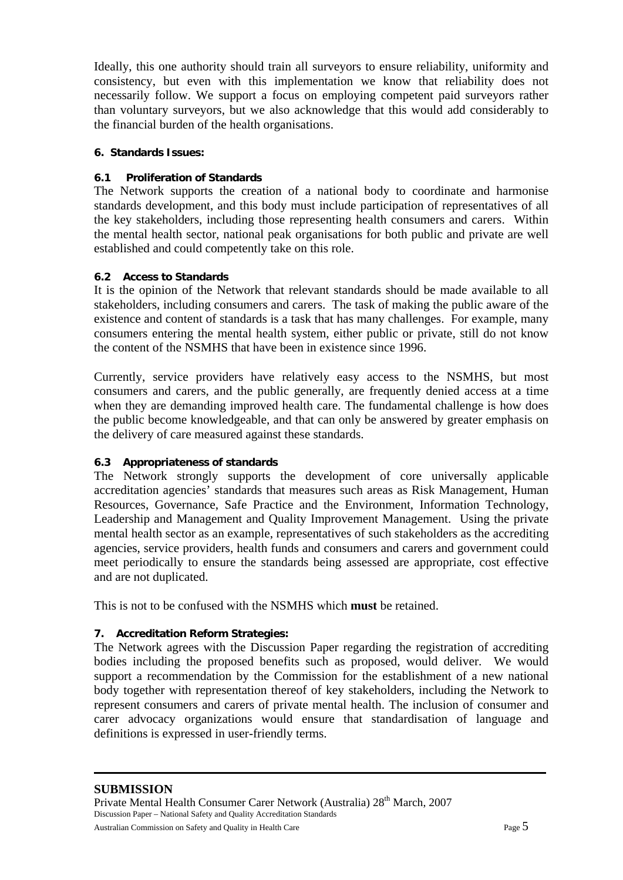Ideally, this one authority should train all surveyors to ensure reliability, uniformity and consistency, but even with this implementation we know that reliability does not necessarily follow. We support a focus on employing competent paid surveyors rather than voluntary surveyors, but we also acknowledge that this would add considerably to the financial burden of the health organisations.

#### **6. Standards Issues:**

### **6.1 Proliferation of Standards**

The Network supports the creation of a national body to coordinate and harmonise standards development, and this body must include participation of representatives of all the key stakeholders, including those representing health consumers and carers. Within the mental health sector, national peak organisations for both public and private are well established and could competently take on this role.

#### **6.2 Access to Standards**

It is the opinion of the Network that relevant standards should be made available to all stakeholders, including consumers and carers. The task of making the public aware of the existence and content of standards is a task that has many challenges. For example, many consumers entering the mental health system, either public or private, still do not know the content of the NSMHS that have been in existence since 1996.

Currently, service providers have relatively easy access to the NSMHS, but most consumers and carers, and the public generally, are frequently denied access at a time when they are demanding improved health care. The fundamental challenge is how does the public become knowledgeable, and that can only be answered by greater emphasis on the delivery of care measured against these standards.

#### **6.3 Appropriateness of standards**

The Network strongly supports the development of core universally applicable accreditation agencies' standards that measures such areas as Risk Management, Human Resources, Governance, Safe Practice and the Environment, Information Technology, Leadership and Management and Quality Improvement Management. Using the private mental health sector as an example, representatives of such stakeholders as the accrediting agencies, service providers, health funds and consumers and carers and government could meet periodically to ensure the standards being assessed are appropriate, cost effective and are not duplicated.

This is not to be confused with the NSMHS which **must** be retained.

# **7. Accreditation Reform Strategies:**

The Network agrees with the Discussion Paper regarding the registration of accrediting bodies including the proposed benefits such as proposed, would deliver. We would support a recommendation by the Commission for the establishment of a new national body together with representation thereof of key stakeholders, including the Network to represent consumers and carers of private mental health. The inclusion of consumer and carer advocacy organizations would ensure that standardisation of language and definitions is expressed in user-friendly terms.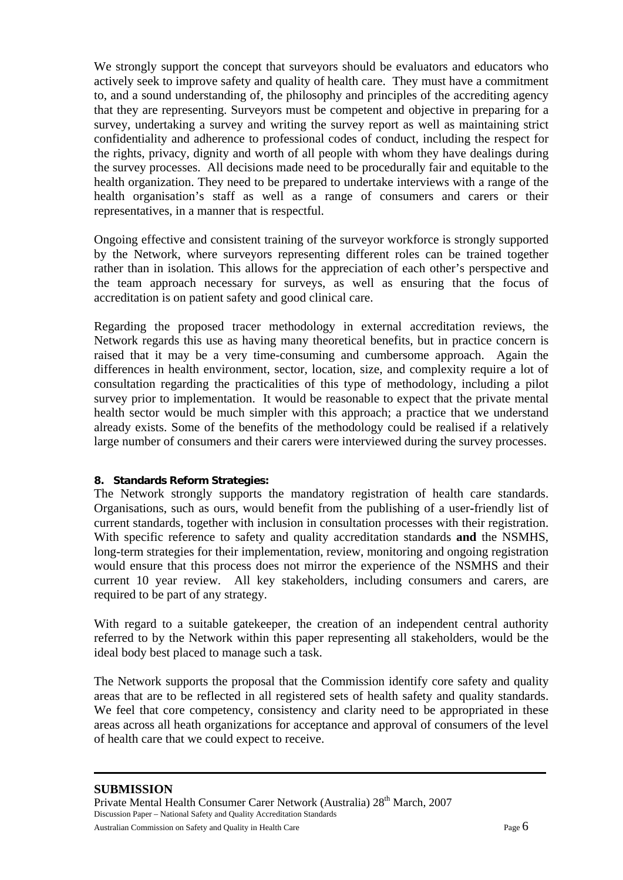We strongly support the concept that surveyors should be evaluators and educators who actively seek to improve safety and quality of health care. They must have a commitment to, and a sound understanding of, the philosophy and principles of the accrediting agency that they are representing. Surveyors must be competent and objective in preparing for a survey, undertaking a survey and writing the survey report as well as maintaining strict confidentiality and adherence to professional codes of conduct, including the respect for the rights, privacy, dignity and worth of all people with whom they have dealings during the survey processes. All decisions made need to be procedurally fair and equitable to the health organization. They need to be prepared to undertake interviews with a range of the health organisation's staff as well as a range of consumers and carers or their representatives, in a manner that is respectful.

Ongoing effective and consistent training of the surveyor workforce is strongly supported by the Network, where surveyors representing different roles can be trained together rather than in isolation. This allows for the appreciation of each other's perspective and the team approach necessary for surveys, as well as ensuring that the focus of accreditation is on patient safety and good clinical care.

Regarding the proposed tracer methodology in external accreditation reviews, the Network regards this use as having many theoretical benefits, but in practice concern is raised that it may be a very time-consuming and cumbersome approach. Again the differences in health environment, sector, location, size, and complexity require a lot of consultation regarding the practicalities of this type of methodology, including a pilot survey prior to implementation. It would be reasonable to expect that the private mental health sector would be much simpler with this approach; a practice that we understand already exists. Some of the benefits of the methodology could be realised if a relatively large number of consumers and their carers were interviewed during the survey processes.

#### **8. Standards Reform Strategies:**

The Network strongly supports the mandatory registration of health care standards. Organisations, such as ours, would benefit from the publishing of a user**-**friendly list of current standards, together with inclusion in consultation processes with their registration. With specific reference to safety and quality accreditation standards **and** the NSMHS, long-term strategies for their implementation, review, monitoring and ongoing registration would ensure that this process does not mirror the experience of the NSMHS and their current 10 year review. All key stakeholders, including consumers and carers, are required to be part of any strategy.

With regard to a suitable gatekeeper, the creation of an independent central authority referred to by the Network within this paper representing all stakeholders, would be the ideal body best placed to manage such a task.

The Network supports the proposal that the Commission identify core safety and quality areas that are to be reflected in all registered sets of health safety and quality standards. We feel that core competency, consistency and clarity need to be appropriated in these areas across all heath organizations for acceptance and approval of consumers of the level of health care that we could expect to receive.

#### **SUBMISSION**

Private Mental Health Consumer Carer Network (Australia) 28<sup>th</sup> March, 2007 Discussion Paper – National Safety and Quality Accreditation Standards